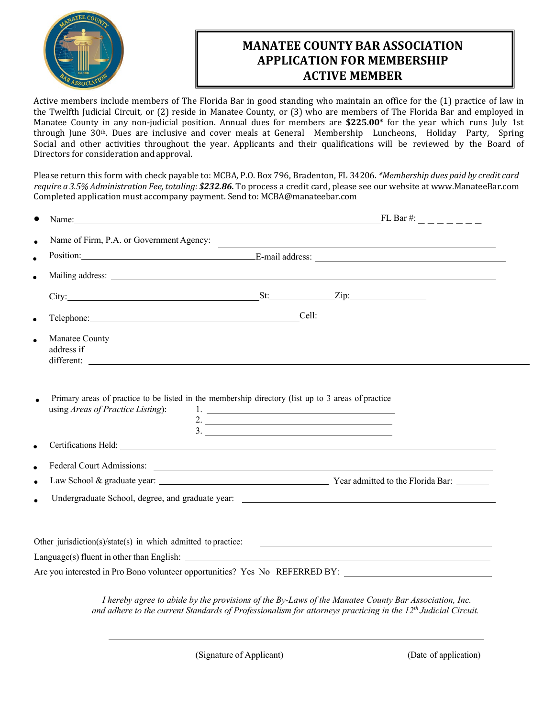

## **MANATEE COUNTY BAR ASSOCIATION APPLICATION FOR MEMBERSHIP ACTIVE MEMBER**

Active members include members of The Florida Bar in good standing who maintain an office for the (1) practice of law in the Twelfth Judicial Circuit, or (2) reside in Manatee County, or (3) who are members of The Florida Bar and employed in Manatee County in any non-judicial position. Annual dues for members are \$225.00<sup>\*</sup> for the year which runs July 1st through June 30<sup>th</sup>. Dues are inclusive and cover meals at General Membership Luncheons, Holiday Party, Spring Social and other activities throughout the year. Applicants and their qualifications will be reviewed by the Board of Directors for consideration andapproval.

Please return this form with check payable to: MCBA, P.O. Box 796, Bradenton, FL 34206. *\*Membership dues paid by credit card require a 3.5% Administration Fee, totaling: \$232.86.* To process a credit card, please see our website at www.ManateeBar.com Completed application must accompany payment. Send to: MCBA@manateebar.com

| Manatee County                                                        |                                                                                                                                   |
|-----------------------------------------------------------------------|-----------------------------------------------------------------------------------------------------------------------------------|
| address if                                                            |                                                                                                                                   |
|                                                                       | different:                                                                                                                        |
|                                                                       | Primary areas of practice to be listed in the membership directory (list up to 3 areas of practice<br>2. $\overline{\phantom{a}}$ |
| using Areas of Practice Listing):                                     |                                                                                                                                   |
|                                                                       |                                                                                                                                   |
|                                                                       |                                                                                                                                   |
|                                                                       |                                                                                                                                   |
|                                                                       |                                                                                                                                   |
| Other jurisdiction( $s$ )/state( $s$ ) in which admitted to practice: | <u> 1989 - Andrea Stadt Britain, amerikansk politiker (</u>                                                                       |
|                                                                       | $Language(s)$ fluent in other than English: $\qquad \qquad$                                                                       |

*I hereby agree to abide by the provisions of the By-Laws of the Manatee County Bar Association, Inc. and adhere to the current Standards of Professionalism for attorneys practicing in the 12th Judicial Circuit.*

(Signature of Applicant) (Date of application)